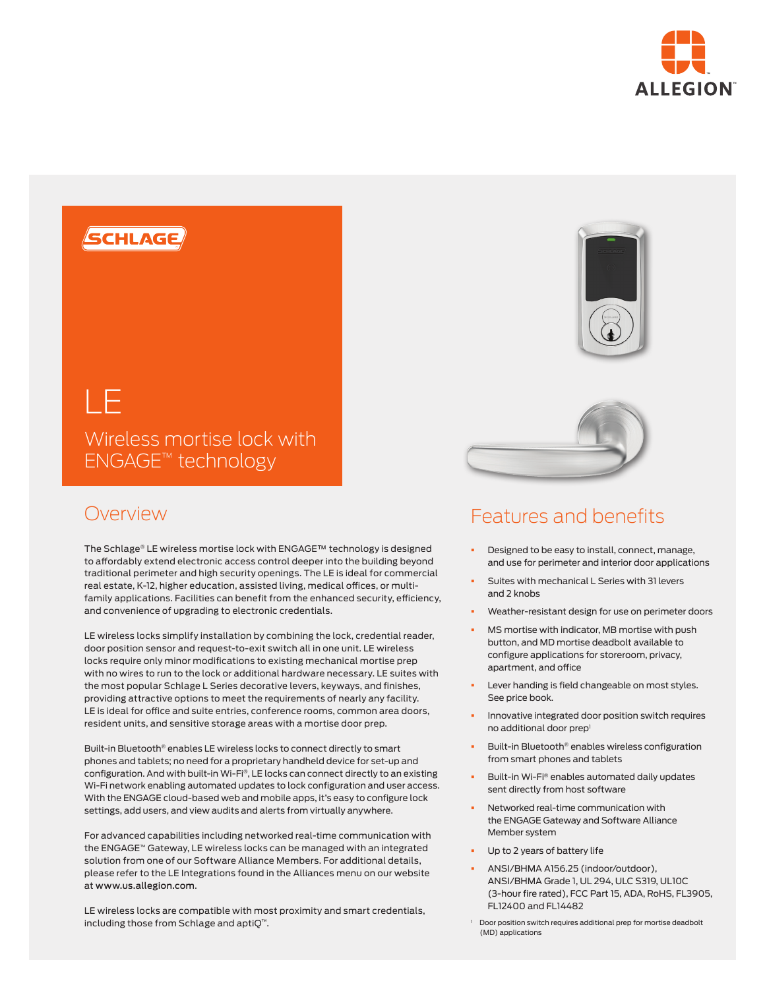



Wireless mortise lock with ENGAGE™ technology

# Overview

The Schlage® LE wireless mortise lock with ENGAGE™ technology is designed to affordably extend electronic access control deeper into the building beyond traditional perimeter and high security openings. The LE is ideal for commercial real estate, K-12, higher education, assisted living, medical offices, or multifamily applications. Facilities can benefit from the enhanced security, efficiency, and convenience of upgrading to electronic credentials.

LE wireless locks simplify installation by combining the lock, credential reader, door position sensor and request-to-exit switch all in one unit. LE wireless locks require only minor modifications to existing mechanical mortise prep with no wires to run to the lock or additional hardware necessary. LE suites with the most popular Schlage L Series decorative levers, keyways, and finishes, providing attractive options to meet the requirements of nearly any facility. LE is ideal for office and suite entries, conference rooms, common area doors, resident units, and sensitive storage areas with a mortise door prep.

Built-in Bluetooth® enables LE wireless locks to connect directly to smart phones and tablets; no need for a proprietary handheld device for set-up and configuration. And with built-in Wi-Fi®, LE locks can connect directly to an existing Wi-Fi network enabling automated updates to lock configuration and user access. With the ENGAGE cloud-based web and mobile apps, it's easy to configure lock settings, add users, and view audits and alerts from virtually anywhere.

For advanced capabilities including networked real-time communication with the ENGAGE™ Gateway, LE wireless locks can be managed with an integrated solution from one of our Software Alliance Members. For additional details, please refer to the LE Integrations found in the Alliances menu on our website at www.us.allegion.com.

LE wireless locks are compatible with most proximity and smart credentials, including those from Schlage and aptiQ™.



# Features and benefits

- Designed to be easy to install, connect, manage, and use for perimeter and interior door applications
- § Suites with mechanical L Series with 31 levers and 2 knobs
- Weather-resistant design for use on perimeter doors
- MS mortise with indicator, MB mortise with push button, and MD mortise deadbolt available to configure applications for storeroom, privacy, apartment, and office
- Lever handing is field changeable on most styles. See price book.
- § Innovative integrated door position switch requires no additional door prep<sup>1</sup>
- § Built-in Bluetooth® enables wireless configuration from smart phones and tablets
- § Built-in Wi-Fi® enables automated daily updates sent directly from host software
- § Networked real-time communication with the ENGAGE Gateway and Software Alliance Member system
- Up to 2 years of battery life
- § ANSI/BHMA A156.25 (indoor/outdoor), ANSI/BHMA Grade 1, UL 294, ULC S319, UL10C (3-hour fire rated), FCC Part 15, ADA, RoHS, FL3905, FL12400 and FL14482
- <sup>1</sup> Door position switch requires additional prep for mortise deadbolt (MD) applications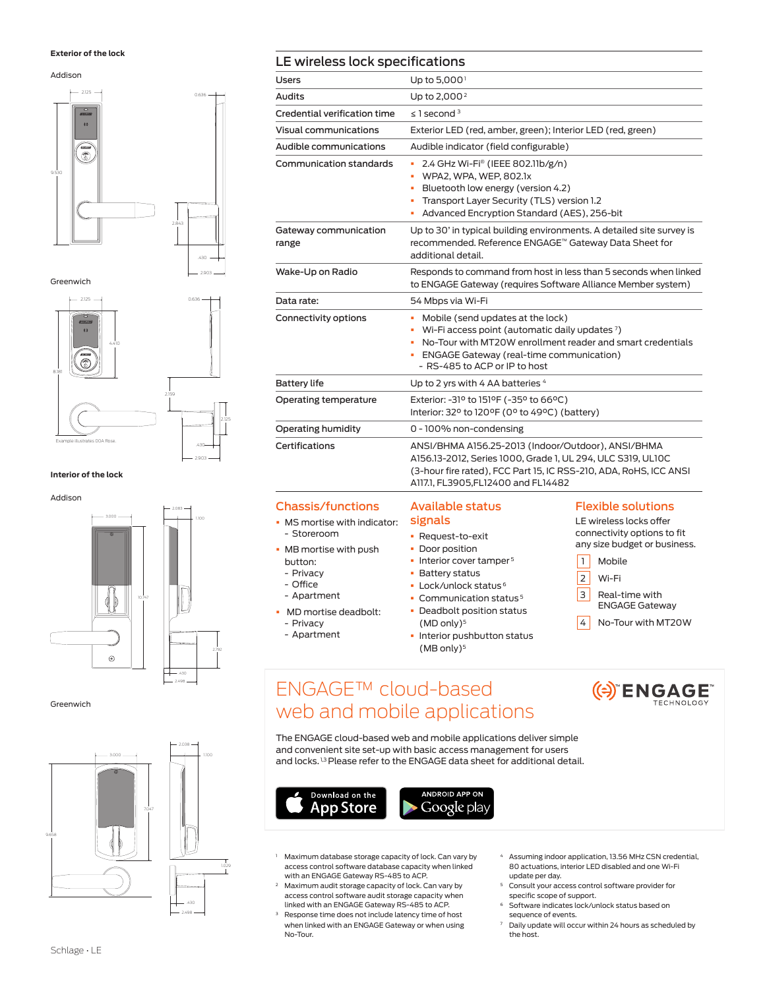#### **Exterior of the lock**

Addison



Greenwich



#### **Interior of the lock**



Greenwich



### LE wireless lock specifications

| Users                          | Up to $5,000$ <sup>1</sup>                                                                                                                                                                                                            |
|--------------------------------|---------------------------------------------------------------------------------------------------------------------------------------------------------------------------------------------------------------------------------------|
| Audits                         | Up to $2,000^2$                                                                                                                                                                                                                       |
| Credential verification time   | $\leq$ 1 second $3$                                                                                                                                                                                                                   |
| Visual communications          | Exterior LED (red, amber, green); Interior LED (red, green)                                                                                                                                                                           |
| Audible communications         | Audible indicator (field configurable)                                                                                                                                                                                                |
| Communication standards        | 2.4 GHz Wi-Fi® (IEEE 802.11b/g/n)<br>٠<br>WPA2, WPA, WEP, 802.1x<br>٠<br>Bluetooth low energy (version 4.2)<br>٠<br>Transport Layer Security (TLS) version 1.2<br>٠<br>Advanced Encryption Standard (AES), 256-bit                    |
| Gateway communication<br>range | Up to 30' in typical building environments. A detailed site survey is<br>recommended. Reference ENGAGE™ Gateway Data Sheet for<br>additional detail.                                                                                  |
| Wake-Up on Radio               | Responds to command from host in less than 5 seconds when linked<br>to ENGAGE Gateway (requires Software Alliance Member system)                                                                                                      |
| Data rate:                     | 54 Mbps via Wi-Fi                                                                                                                                                                                                                     |
| Connectivity options           | Mobile (send updates at the lock)<br>Wi-Fi access point (automatic daily updates 7)<br>No-Tour with MT20W enrollment reader and smart credentials<br><b>ENGAGE Gateway (real-time communication)</b><br>- RS-485 to ACP or IP to host |
| <b>Battery life</b>            | Up to 2 yrs with 4 AA batteries 4                                                                                                                                                                                                     |
| Operating temperature          | Exterior: -31º to 151ºF (-35° to 66°C)<br>Interior: 32° to 120°F (0° to 49°C) (battery)                                                                                                                                               |
| Operating humidity             | 0 - 100% non-condensing                                                                                                                                                                                                               |
| Certifications                 | ANSI/BHMA A156.25-2013 (Indoor/Outdoor), ANSI/BHMA<br>A156.13-2012, Series 1000, Grade 1, UL 294, ULC S319, UL10C<br>(3-hour fire rated), FCC Part 15, IC RSS-210, ADA, RoHS, ICC ANSI<br>A117.1, FL3905,FL12400 and FL14482          |

#### Chassis/functions

- **MS mortise with indicator:** - Storeroom
- § MB mortise with push button:
- Privacy
- Office
- Apartment
- § MD mortise deadbolt:
- Privacy
- Apartment

### Available status signals

- § Request-to-exit
- Door position
- Interior cover tamper<sup>5</sup>
- § Battery status
- § Lock/unlock status 6
- **Communication status<sup>5</sup>** § Deadbolt position status
- $(MD only)<sup>5</sup>$ **• Interior pushbutton status** (MB only)<sup>5</sup>

### Flexible solutions

LE wireless locks offer connectivity options to fit any size budget or business.

- 1 Mobile
- 2 Wi-Fi
- 3 Real-time with ENGAGE Gateway
- 4 No-Tour with MT20W

(e) ENGAGE

# ENGAGE™ cloud-based web and mobile applications

The ENGAGE cloud-based web and mobile applications deliver simple and convenient site set-up with basic access management for users and locks.<sup>1,3</sup> Please refer to the ENGAGE data sheet for additional detail.



- Maximum database storage capacity of lock. Can vary by access control software database capacity when linked with an ENGAGE Gateway RS-485 to ACP.
- Maximum audit storage capacity of lock. Can vary by access control software audit storage capacity when linked with an ENGAGE Gateway RS-485 to ACP.
- Response time does not include latency time of host when linked with an ENGAGE Gateway or when using No-Tour.
- <sup>4</sup> Assuming indoor application, 13.56 MHz CSN credential, 80 actuations, interior LED disabled and one Wi-Fi update per day.
- <sup>5</sup> Consult your access control software provider for
- specific scope of support. <sup>6</sup> Software indicates lock/unlock status based on sequence of events.
- <sup>7</sup> Daily update will occur within 24 hours as scheduled by the host.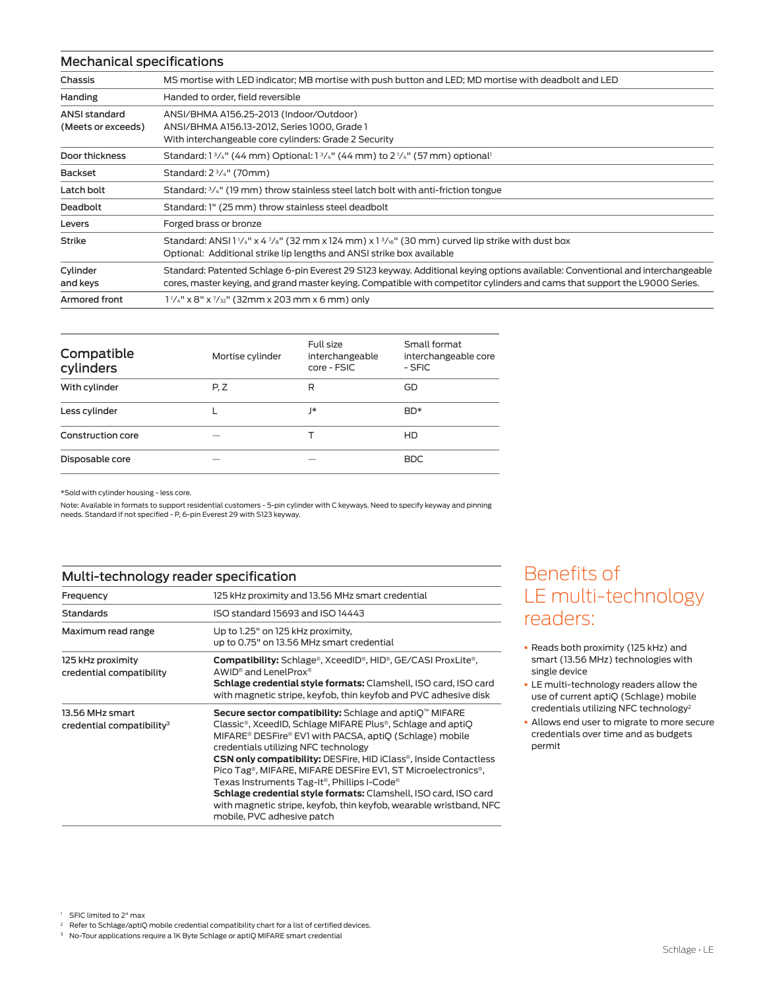### Mechanical specifications

| Chassis                                    | MS mortise with LED indicator; MB mortise with push button and LED; MD mortise with deadbolt and LED                                                                                                                                                          |
|--------------------------------------------|---------------------------------------------------------------------------------------------------------------------------------------------------------------------------------------------------------------------------------------------------------------|
| Handing                                    | Handed to order, field reversible                                                                                                                                                                                                                             |
| <b>ANSI standard</b><br>(Meets or exceeds) | ANSI/BHMA A156.25-2013 (Indoor/Outdoor)<br>ANSI/BHMA A156.13-2012, Series 1000, Grade 1<br>With interchangeable core cylinders: Grade 2 Security                                                                                                              |
| Door thickness                             | Standard: $1\frac{3}{4}$ " (44 mm) Optional: $1\frac{3}{4}$ " (44 mm) to 2 $\frac{1}{4}$ " (57 mm) optional <sup>1</sup>                                                                                                                                      |
| Backset                                    | Standard: $2\frac{3}{4}$ " (70mm)                                                                                                                                                                                                                             |
| Latch bolt                                 | Standard: $\frac{3}{4}$ " (19 mm) throw stainless steel latch bolt with anti-friction tongue                                                                                                                                                                  |
| Deadbolt                                   | Standard: 1" (25 mm) throw stainless steel deadbolt                                                                                                                                                                                                           |
| Levers                                     | Forged brass or bronze                                                                                                                                                                                                                                        |
| <b>Strike</b>                              | Standard: ANSI 1 $\frac{1}{4}$ " x 4 $\frac{7}{8}$ " (32 mm x 124 mm) x 1 $\frac{3}{16}$ " (30 mm) curved lip strike with dust box<br>Optional: Additional strike lip lengths and ANSI strike box available                                                   |
| Cylinder<br>and keys                       | Standard: Patented Schlage 6-pin Everest 29 S123 keyway. Additional keying options available: Conventional and interchangeable<br>cores, master keying, and grand master keying. Compatible with competitor cylinders and cams that support the L9000 Series. |
| Armored front                              | $1\frac{1}{4}$ " x 8" x $\frac{7}{32}$ " (32mm x 203 mm x 6 mm) only                                                                                                                                                                                          |

| Compatible<br>cylinders | Mortise cylinder | Full size<br>interchangeable<br>core - FSIC | Small format<br>interchangeable core<br>- SFIC |
|-------------------------|------------------|---------------------------------------------|------------------------------------------------|
| With cylinder           | P, Z             | R                                           | GD                                             |
| Less cylinder           |                  | ∗                                           | BD*                                            |
| Construction core       |                  |                                             | HD                                             |
| Disposable core         |                  |                                             | <b>BDC</b>                                     |
|                         |                  |                                             |                                                |

\*Sold with cylinder housing - less core.

Note: Available in formats to support residential customers - 5-pin cylinder with C keyways. Need to specify keyway and pinning needs. Standard if not specified - P, 6-pin Everest 29 with S123 keyway.

### Multi-technology reader specification

| Frequency                                                | 125 kHz proximity and 13.56 MHz smart credential                                                                                                                                                                                                                                                                                                                                                                                                                                                                                                                                                                                            |  |  |
|----------------------------------------------------------|---------------------------------------------------------------------------------------------------------------------------------------------------------------------------------------------------------------------------------------------------------------------------------------------------------------------------------------------------------------------------------------------------------------------------------------------------------------------------------------------------------------------------------------------------------------------------------------------------------------------------------------------|--|--|
| <b>Standards</b>                                         | ISO standard 15693 and ISO 14443                                                                                                                                                                                                                                                                                                                                                                                                                                                                                                                                                                                                            |  |  |
| Maximum read range                                       | Up to 1.25" on 125 kHz proximity,<br>up to 0.75" on 13.56 MHz smart credential                                                                                                                                                                                                                                                                                                                                                                                                                                                                                                                                                              |  |  |
| 125 kHz proximity<br>credential compatibility            | <b>Compatibility:</b> Schlage®, XceedID®, HID®, GE/CASI ProxLite®,<br>AWID <sup>®</sup> and LenelProx <sup>®</sup><br>Schlage credential style formats: Clamshell, ISO card, ISO card<br>with magnetic stripe, keyfob, thin keyfob and PVC adhesive disk                                                                                                                                                                                                                                                                                                                                                                                    |  |  |
| 13.56 MHz smart<br>credential compatibility <sup>3</sup> | Secure sector compatibility: Schlage and aptiO <sup>™</sup> MIFARE<br>Classic®, XceedID, Schlage MIFARE Plus®, Schlage and aptiQ<br>MIFARE® DESFire® EV1 with PACSA, aptiQ (Schlage) mobile<br>credentials utilizing NFC technology<br><b>CSN only compatibility: DESFire, HID iClass®, Inside Contactless</b><br>Pico Tag <sup>®</sup> , MIFARE, MIFARE DESFire EV1, ST Microelectronics <sup>®</sup> ,<br>Texas Instruments Tag-It <sup>®</sup> , Phillips I-Code®<br>Schlage credential style formats: Clamshell, ISO card, ISO card<br>with magnetic stripe, keyfob, thin keyfob, wearable wristband, NFC<br>mobile, PVC adhesive patch |  |  |

# Benefits of LE multi-technology readers:

- § Reads both proximity (125 kHz) and smart (13.56 MHz) technologies with single device
- **E** multi-technology readers allow the use of current aptiQ (Schlage) mobile credentials utilizing NFC technology2
- § Allows end user to migrate to more secure credentials over time and as budgets permit

2 Refer to Schlage/aptiQ mobile credential compatibility chart for a list of certified devices.

<sup>&</sup>lt;sup>1</sup> SFIC limited to 2" max

<sup>&</sup>lt;sup>3</sup> No-Tour applications require a 1K Byte Schlage or aptiQ MIFARE smart credential